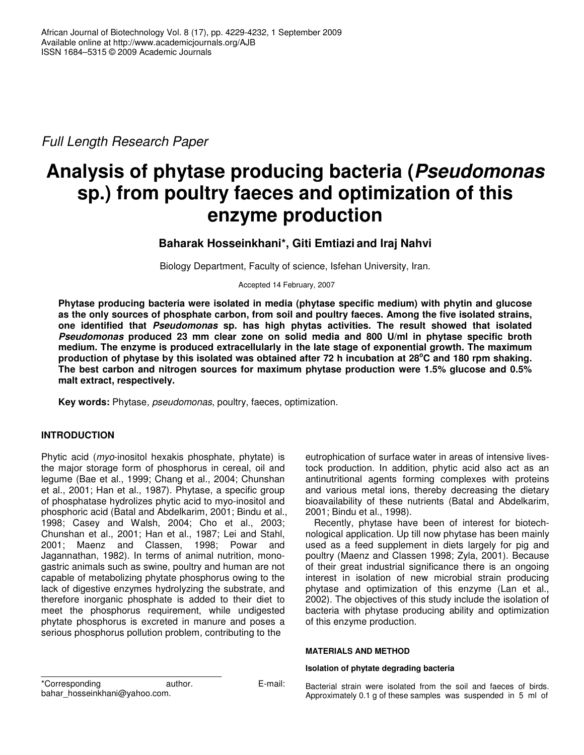*Full Length Research Paper*

# **Analysis of phytase producing bacteria (***Pseudomonas* **sp.) from poultry faeces and optimization of this enzyme production**

# **Baharak Hosseinkhani\*, Giti Emtiazi and Iraj Nahvi**

Biology Department, Faculty of science, Isfehan University, Iran.

Accepted 14 February, 2007

**Phytase producing bacteria were isolated in media (phytase specific medium) with phytin and glucose as the only sources of phosphate carbon, from soil and poultry faeces. Among the five isolated strains, one identified that** *Pseudomonas* **sp. has high phytas activities. The result showed that isolated** *Pseudomonas* **produced 23 mm clear zone on solid media and 800 U/ml in phytase specific broth medium. The enzyme is produced extracellularly in the late stage of exponential growth. The maximum** production of phytase by this isolated was obtained after 72 h incubation at 28°C and 180 rpm shaking. **The best carbon and nitrogen sources for maximum phytase production were 1.5% glucose and 0.5% malt extract, respectively.**

**Key words:** Phytase*, pseudomonas*, poultry, faeces, optimization.

# **INTRODUCTION**

Phytic acid (*myo*-inositol hexakis phosphate, phytate) is the major storage form of phosphorus in cereal, oil and legume (Bae et al., 1999; Chang et al., 2004; Chunshan et al., 2001; Han et al., 1987). Phytase, a specific group of phosphatase hydrolizes phytic acid to myo-inositol and phosphoric acid (Batal and Abdelkarim, 2001; Bindu et al., 1998; Casey and Walsh, 2004; Cho et al., 2003; Chunshan et al., 2001; Han et al., 1987; Lei and Stahl, 2001; Maenz and Classen, 1998; Powar and Jagannathan, 1982). In terms of animal nutrition, monogastric animals such as swine, poultry and human are not capable of metabolizing phytate phosphorus owing to the lack of digestive enzymes hydrolyzing the substrate, and therefore inorganic phosphate is added to their diet to meet the phosphorus requirement, while undigested phytate phosphorus is excreted in manure and poses a serious phosphorus pollution problem, contributing to the

eutrophication of surface water in areas of intensive livestock production. In addition, phytic acid also act as an antinutritional agents forming complexes with proteins and various metal ions, thereby decreasing the dietary bioavailability of these nutrients (Batal and Abdelkarim, 2001; Bindu et al., 1998).

Recently, phytase have been of interest for biotechnological application. Up till now phytase has been mainly used as a feed supplement in diets largely for pig and poultry (Maenz and Classen 1998; Zyla, 2001). Because of their great industrial significance there is an ongoing interest in isolation of new microbial strain producing phytase and optimization of this enzyme (Lan et al., 2002). The objectives of this study include the isolation of bacteria with phytase producing ability and optimization of this enzyme production.

# **MATERIALS AND METHOD**

## **Isolation of phytate degrading bacteria**

\*Corresponding author. E-mail: bahar\_hosseinkhani@yahoo.com.

Bacterial strain were isolated from the soil and faeces of birds. Approximately 0.1 g of these samples was suspended in 5 ml of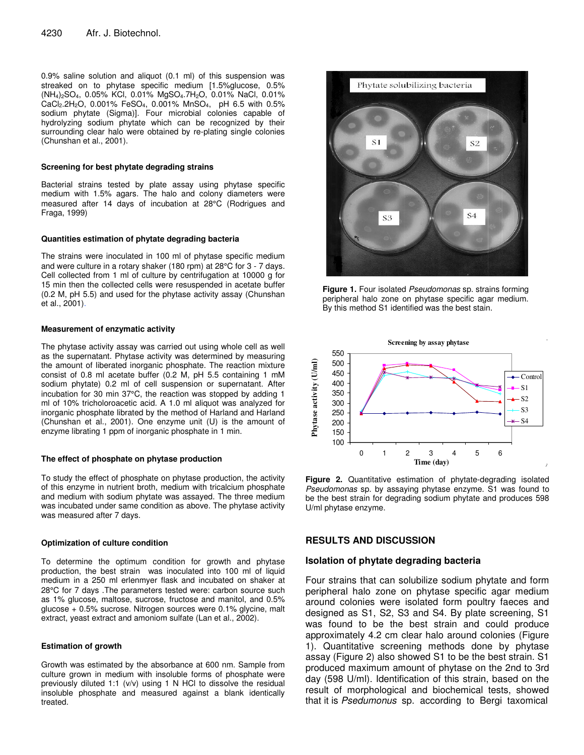0.9% saline solution and aliquot (0.1 ml) of this suspension was streaked on to phytase specific medium [1.5%glucose, 0.5% (NH4)2SO4, 0.05% KCl, 0.01% MgSO4.7H2O, 0.01% NaCl, 0.01% CaCl2.2H2O, 0.001% FeSO4, 0.001% MnSO4, pH 6.5 with 0.5% sodium phytate (Sigma)]. Four microbial colonies capable of hydrolyzing sodium phytate which can be recognized by their surrounding clear halo were obtained by re-plating single colonies (Chunshan et al., 2001).

#### **Screening for best phytate degrading strains**

Bacterial strains tested by plate assay using phytase specific medium with 1.5% agars. The halo and colony diameters were measured after 14 days of incubation at 28°C (Rodrigues and Fraga, 1999)

#### **Quantities estimation of phytate degrading bacteria**

The strains were inoculated in 100 ml of phytase specific medium and were culture in a rotary shaker (180 rpm) at 28°C for 3 - 7 days. Cell collected from 1 ml of culture by centrifugation at 10000 g for 15 min then the collected cells were resuspended in acetate buffer (0.2 M, pH 5.5) and used for the phytase activity assay (Chunshan et al., 2001).

# **Measurement of enzymatic activity**

The phytase activity assay was carried out using whole cell as well as the supernatant. Phytase activity was determined by measuring the amount of liberated inorganic phosphate. The reaction mixture consist of 0.8 ml acetate buffer (0.2 M, pH 5.5 containing 1 mM sodium phytate) 0.2 ml of cell suspension or supernatant. After incubation for 30 min 37°C, the reaction was stopped by adding 1 ml of 10% tricholoroacetic acid. A 1.0 ml aliquot was analyzed for inorganic phosphate librated by the method of Harland and Harland (Chunshan et al., 2001). One enzyme unit (U) is the amount of enzyme librating 1 ppm of inorganic phosphate in 1 min.

#### **The effect of phosphate on phytase production**

To study the effect of phosphate on phytase production, the activity of this enzyme in nutrient broth, medium with tricalcium phosphate and medium with sodium phytate was assayed. The three medium was incubated under same condition as above. The phytase activity was measured after 7 days.

#### **Optimization of culture condition**

To determine the optimum condition for growth and phytase production, the best strain was inoculated into 100 ml of liquid medium in a 250 ml erlenmyer flask and incubated on shaker at 28°C for 7 days .The parameters tested were: carbon source such as 1% glucose, maltose, sucrose, fructose and manitol, and 0.5% glucose + 0.5% sucrose. Nitrogen sources were 0.1% glycine, malt extract, yeast extract and amoniom sulfate (Lan et al., 2002).

#### **Estimation of growth**

Growth was estimated by the absorbance at 600 nm. Sample from culture grown in medium with insoluble forms of phosphate were previously diluted 1:1 (v/v) using 1 N HCl to dissolve the residual insoluble phosphate and measured against a blank identically treated.



**Figure 1.** Four isolated *Pseudomonas* sp. strains forming peripheral halo zone on phytase specific agar medium. By this method S1 identified was the best stain.



**Figure 2.** Quantitative estimation of phytate-degrading isolated *Pseudomonas* sp. by assaying phytase enzyme. S1 was found to be the best strain for degrading sodium phytate and produces 598 U/ml phytase enzyme.

# **RESULTS AND DISCUSSION**

## **Isolation of phytate degrading bacteria**

Four strains that can solubilize sodium phytate and form peripheral halo zone on phytase specific agar medium around colonies were isolated form poultry faeces and designed as S1, S2, S3 and S4. By plate screening, S1 was found to be the best strain and could produce approximately 4.2 cm clear halo around colonies (Figure 1). Quantitative screening methods done by phytase assay (Figure 2) also showed S1 to be the best strain. S1 produced maximum amount of phytase on the 2nd to 3rd day (598 U/ml). Identification of this strain, based on the result of morphological and biochemical tests, showed that it is *Psedumonus* sp. according to Bergi taxomical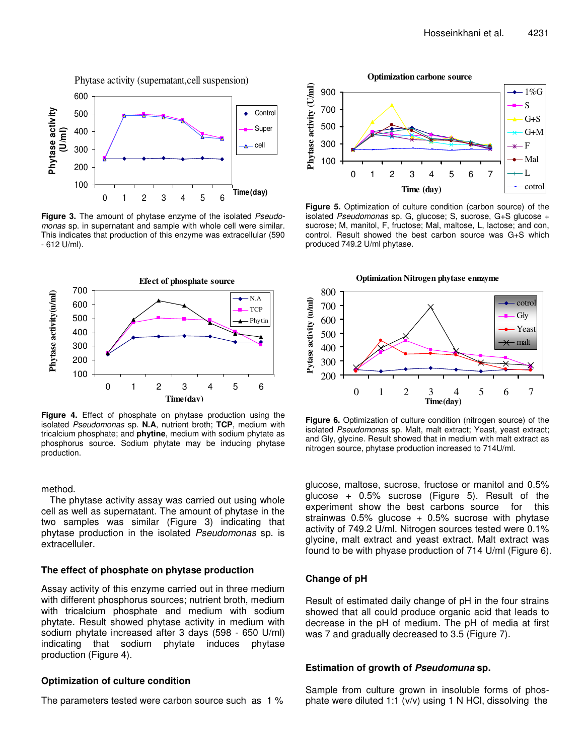

**Figure 3.** The amount of phytase enzyme of the isolated *Pseudomonas* sp. in supernatant and sample with whole cell were similar. This indicates that production of this enzyme was extracellular (590 - 612 U/ml).



**Figure 4.** Effect of phosphate on phytase production using the isolated *Pseudomonas* sp. **N.A**, nutrient broth; **TCP**, medium with tricalcium phosphate; and **phytine**, medium with sodium phytate as phosphorus source. Sodium phytate may be inducing phytase production.

# method.

The phytase activity assay was carried out using whole cell as well as supernatant. The amount of phytase in the two samples was similar (Figure 3) indicating that phytase production in the isolated *Pseudomonas* sp. is extracelluler.

# **The effect of phosphate on phytase production**

Assay activity of this enzyme carried out in three medium with different phosphorus sources; nutrient broth, medium with tricalcium phosphate and medium with sodium phytate. Result showed phytase activity in medium with sodium phytate increased after 3 days (598 - 650 U/ml) indicating that sodium phytate induces phytase production (Figure 4).

# **Optimization of culture condition**

The parameters tested were carbon source such as 1 %

**Optimization carbone source**



**Figure 5.** Optimization of culture condition (carbon source) of the isolated *Pseudomonas* sp. G, glucose; S, sucrose, G+S glucose + sucrose; M, manitol, F, fructose; Mal, maltose, L, lactose; and con, control. Result showed the best carbon source was G+S which produced 749.2 U/ml phytase.



**Figure 6.** Optimization of culture condition (nitrogen source) of the isolated *Pseudomonas* sp. Malt, malt extract; Yeast, yeast extract; and Gly, glycine. Result showed that in medium with malt extract as nitrogen source, phytase production increased to 714U/ml.

glucose, maltose, sucrose, fructose or manitol and 0.5% glucose  $+$  0.5% sucrose (Figure 5). Result of the experiment show the best carbons source for this strainwas  $0.5\%$  glucose  $+$  0.5% sucrose with phytase activity of 749.2 U/ml. Nitrogen sources tested were 0.1% glycine, malt extract and yeast extract. Malt extract was found to be with phyase production of 714 U/ml (Figure 6).

## **Change of pH**

Result of estimated daily change of pH in the four strains showed that all could produce organic acid that leads to decrease in the pH of medium. The pH of media at first was 7 and gradually decreased to 3.5 (Figure 7).

# **Estimation of growth of** *Pseudomuna* **sp.**

Sample from culture grown in insoluble forms of phosphate were diluted 1:1 (v/v) using 1 N HCl, dissolving the